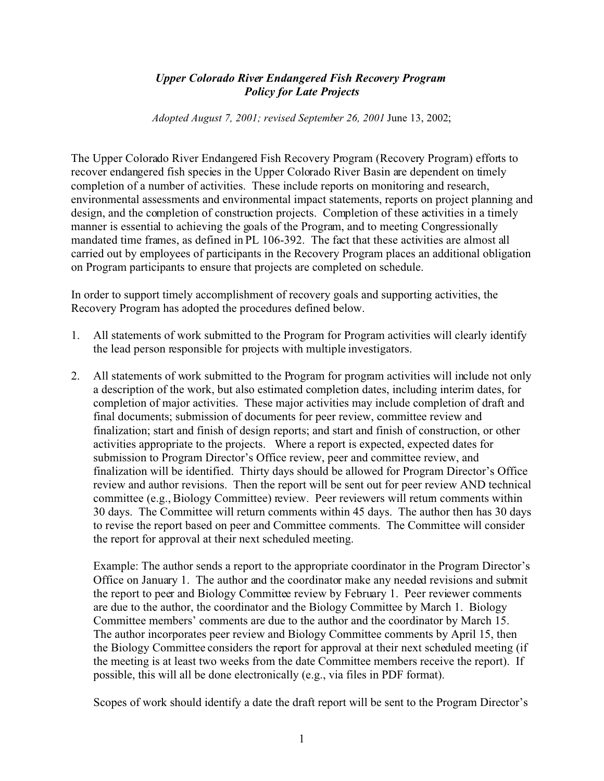## *Upper Colorado River Endangered Fish Recovery Program Policy for Late Projects*

*Adopted August 7, 2001; revised September 26, 2001* June 13, 2002;

The Upper Colorado River Endangered Fish Recovery Program (Recovery Program) efforts to recover endangered fish species in the Upper Colorado River Basin are dependent on timely completion of a number of activities. These include reports on monitoring and research, environmental assessments and environmental impact statements, reports on project planning and design, and the completion of construction projects. Completion of these activities in a timely manner is essential to achieving the goals of the Program, and to meeting Congressionally mandated time frames, as defined in PL 106-392. The fact that these activities are almost all carried out by employees of participants in the Recovery Program places an additional obligation on Program participants to ensure that projects are completed on schedule.

In order to support timely accomplishment of recovery goals and supporting activities, the Recovery Program has adopted the procedures defined below.

- 1. All statements of work submitted to the Program for Program activities will clearly identify the lead person responsible for projects with multiple investigators.
- 2. All statements of work submitted to the Program for program activities will include not only a description of the work, but also estimated completion dates, including interim dates, for completion of major activities. These major activities may include completion of draft and final documents; submission of documents for peer review, committee review and finalization; start and finish of design reports; and start and finish of construction, or other activities appropriate to the projects. Where a report is expected, expected dates for submission to Program Director's Office review, peer and committee review, and finalization will be identified. Thirty days should be allowed for Program Director's Office review and author revisions. Then the report will be sent out for peer review AND technical committee (e.g., Biology Committee) review. Peer reviewers will return comments within 30 days. The Committee will return comments within 45 days. The author then has 30 days to revise the report based on peer and Committee comments. The Committee will consider the report for approval at their next scheduled meeting.

Example: The author sends a report to the appropriate coordinator in the Program Director's Office on January 1. The author and the coordinator make any needed revisions and submit the report to peer and Biology Committee review by February 1. Peer reviewer comments are due to the author, the coordinator and the Biology Committee by March 1. Biology Committee members' comments are due to the author and the coordinator by March 15. The author incorporates peer review and Biology Committee comments by April 15, then the Biology Committee considers the report for approval at their next scheduled meeting (if the meeting is at least two weeks from the date Committee members receive the report). If possible, this will all be done electronically (e.g., via files in PDF format).

Scopes of work should identify a date the draft report will be sent to the Program Director's